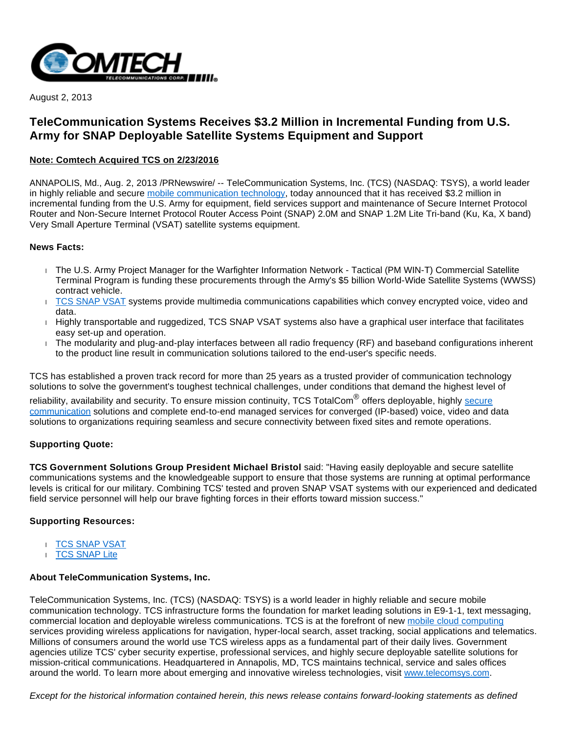

August 2, 2013

# **TeleCommunication Systems Receives \$3.2 Million in Incremental Funding from U.S. Army for SNAP Deployable Satellite Systems Equipment and Support**

## **Note: Comtech Acquired TCS on 2/23/2016**

ANNAPOLIS, Md., Aug. 2, 2013 /PRNewswire/ -- TeleCommunication Systems, Inc. (TCS) (NASDAQ: TSYS), a world leader in highly reliable and secure [mobile communication technology](http://www.telecomsys.com/), today announced that it has received \$3.2 million in incremental funding from the U.S. Army for equipment, field services support and maintenance of Secure Internet Protocol Router and Non-Secure Internet Protocol Router Access Point (SNAP) 2.0M and SNAP 1.2M Lite Tri-band (Ku, Ka, X band) Very Small Aperture Terminal (VSAT) satellite systems equipment.

### **News Facts:**

- The U.S. Army Project Manager for the Warfighter Information Network Tactical (PM WIN-T) Commercial Satellite Terminal Program is funding these procurements through the Army's \$5 billion World-Wide Satellite Systems (WWSS) contract vehicle.
- [TCS SNAP VSAT](http://www.telecomsys.com/products/deployable-coms/SNAP/default.aspx) systems provide multimedia communications capabilities which convey encrypted voice, video and data.
- $H$  Highly transportable and ruggedized, TCS SNAP VSAT systems also have a graphical user interface that facilitates easy set-up and operation.
- The modularity and plug-and-play interfaces between all radio frequency (RF) and baseband configurations inherent to the product line result in communication solutions tailored to the end-user's specific needs.

TCS has established a proven track record for more than 25 years as a trusted provider of communication technology solutions to solve the government's toughest technical challenges, under conditions that demand the highest level of

reliability, availability and security. To ensure mission continuity, TCS TotalCom<sup>®</sup> offers deployable, highly <u>secure</u> [communication](http://www.telecomsys.com/markets/government/default.aspx) solutions and complete end-to-end managed services for converged (IP-based) voice, video and data solutions to organizations requiring seamless and secure connectivity between fixed sites and remote operations.

#### **Supporting Quote:**

**TCS Government Solutions Group President Michael Bristol** said: "Having easily deployable and secure satellite communications systems and the knowledgeable support to ensure that those systems are running at optimal performance levels is critical for our military. Combining TCS' tested and proven SNAP VSAT systems with our experienced and dedicated field service personnel will help our brave fighting forces in their efforts toward mission success."

#### **Supporting Resources:**

- [TCS SNAP VSAT](http://www.telecomsys.com/products/deployable-coms/satcom/terminals/vsat/overview.aspx)
- **[TCS SNAP Lite](http://www.telecomsys.com/products/deployable-coms/satcom/terminals/vsat/SNAP-1-2M_Lite.aspx)**

## **About TeleCommunication Systems, Inc.**

TeleCommunication Systems, Inc. (TCS) (NASDAQ: TSYS) is a world leader in highly reliable and secure mobile communication technology. TCS infrastructure forms the foundation for market leading solutions in E9-1-1, text messaging, commercial location and deployable wireless communications. TCS is at the forefront of new [mobile cloud computing](http://www.telecomsys.com/) services providing wireless applications for navigation, hyper-local search, asset tracking, social applications and telematics. Millions of consumers around the world use TCS wireless apps as a fundamental part of their daily lives. Government agencies utilize TCS' cyber security expertise, professional services, and highly secure deployable satellite solutions for mission-critical communications. Headquartered in Annapolis, MD, TCS maintains technical, service and sales offices around the world. To learn more about emerging and innovative wireless technologies, visit [www.telecomsys.com.](http://www.telecomsys.com/)

Except for the historical information contained herein, this news release contains forward-looking statements as defined